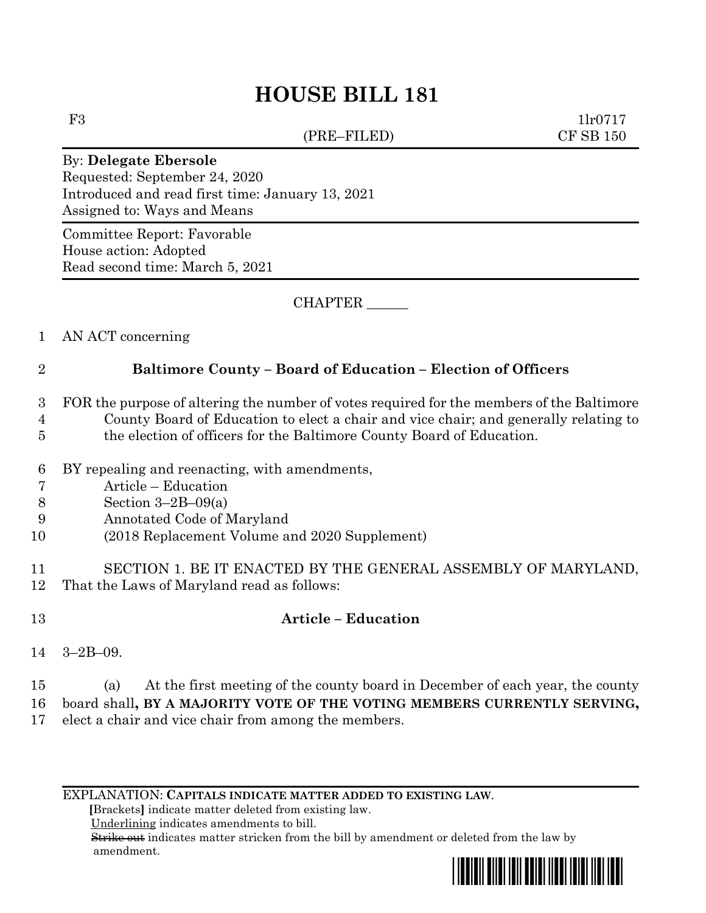# **HOUSE BILL 181**

(PRE–FILED) CF SB 150

F3 1lr0717

#### By: **Delegate Ebersole**

Requested: September 24, 2020 Introduced and read first time: January 13, 2021 Assigned to: Ways and Means

Committee Report: Favorable House action: Adopted Read second time: March 5, 2021

CHAPTER \_\_\_\_\_\_

### 1 AN ACT concerning

## 2 **Baltimore County – Board of Education – Election of Officers**

- 3 FOR the purpose of altering the number of votes required for the members of the Baltimore
- 4 County Board of Education to elect a chair and vice chair; and generally relating to
- 5 the election of officers for the Baltimore County Board of Education.
- 6 BY repealing and reenacting, with amendments,
- 7 Article Education
- 8 Section 3–2B–09(a)
- 9 Annotated Code of Maryland
- 10 (2018 Replacement Volume and 2020 Supplement)
- 11 SECTION 1. BE IT ENACTED BY THE GENERAL ASSEMBLY OF MARYLAND, 12 That the Laws of Maryland read as follows:
- 13 **Article – Education**

- 14 3–2B–09.
- 15 (a) At the first meeting of the county board in December of each year, the county 16 board shall**, BY A MAJORITY VOTE OF THE VOTING MEMBERS CURRENTLY SERVING,**
- 17 elect a chair and vice chair from among the members.

EXPLANATION: **CAPITALS INDICATE MATTER ADDED TO EXISTING LAW**.

 **[**Brackets**]** indicate matter deleted from existing law.

Underlining indicates amendments to bill.

 Strike out indicates matter stricken from the bill by amendment or deleted from the law by amendment.